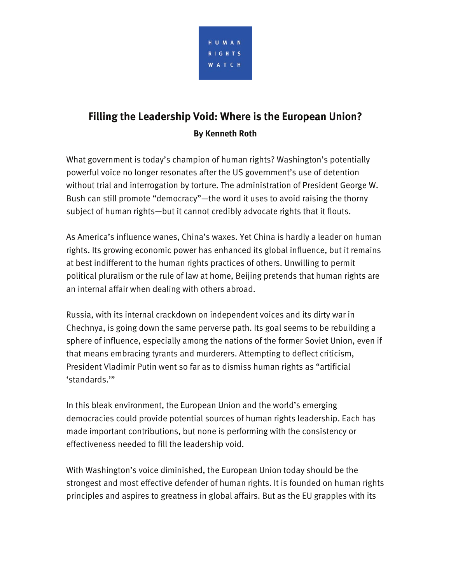

# **Filling the Leadership Void: Where is the European Union? By Kenneth Roth**

What government is today's champion of human rights? Washington's potentially powerful voice no longer resonates after the US government's use of detention without trial and interrogation by torture. The administration of President George W. Bush can still promote "democracy"—the word it uses to avoid raising the thorny subject of human rights—but it cannot credibly advocate rights that it flouts.

As America's influence wanes, China's waxes. Yet China is hardly a leader on human rights. Its growing economic power has enhanced its global influence, but it remains at best indifferent to the human rights practices of others. Unwilling to permit political pluralism or the rule of law at home, Beijing pretends that human rights are an internal affair when dealing with others abroad.

Russia, with its internal crackdown on independent voices and its dirty war in Chechnya, is going down the same perverse path. Its goal seems to be rebuilding a sphere of influence, especially among the nations of the former Soviet Union, even if that means embracing tyrants and murderers. Attempting to deflect criticism, President Vladimir Putin went so far as to dismiss human rights as "artificial 'standards.'"

In this bleak environment, the European Union and the world's emerging democracies could provide potential sources of human rights leadership. Each has made important contributions, but none is performing with the consistency or effectiveness needed to fill the leadership void.

With Washington's voice diminished, the European Union today should be the strongest and most effective defender of human rights. It is founded on human rights principles and aspires to greatness in global affairs. But as the EU grapples with its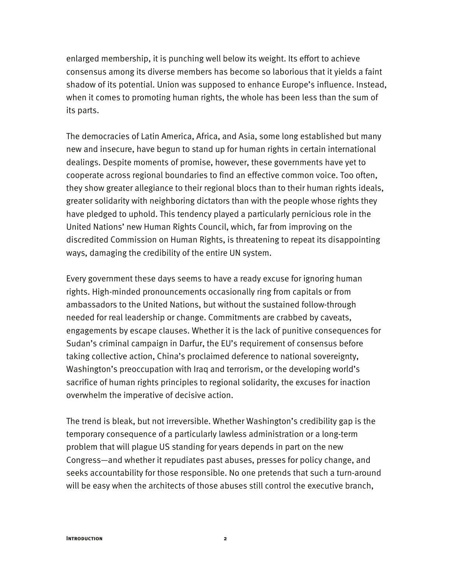enlarged membership, it is punching well below its weight. Its effort to achieve consensus among its diverse members has become so laborious that it yields a faint shadow of its potential. Union was supposed to enhance Europe's influence. Instead, when it comes to promoting human rights, the whole has been less than the sum of its parts.

The democracies of Latin America, Africa, and Asia, some long established but many new and insecure, have begun to stand up for human rights in certain international dealings. Despite moments of promise, however, these governments have yet to cooperate across regional boundaries to find an effective common voice. Too often, they show greater allegiance to their regional blocs than to their human rights ideals, greater solidarity with neighboring dictators than with the people whose rights they have pledged to uphold. This tendency played a particularly pernicious role in the United Nations' new Human Rights Council, which, far from improving on the discredited Commission on Human Rights, is threatening to repeat its disappointing ways, damaging the credibility of the entire UN system.

Every government these days seems to have a ready excuse for ignoring human rights. High-minded pronouncements occasionally ring from capitals or from ambassadors to the United Nations, but without the sustained follow-through needed for real leadership or change. Commitments are crabbed by caveats, engagements by escape clauses. Whether it is the lack of punitive consequences for Sudan's criminal campaign in Darfur, the EU's requirement of consensus before taking collective action, China's proclaimed deference to national sovereignty, Washington's preoccupation with Iraq and terrorism, or the developing world's sacrifice of human rights principles to regional solidarity, the excuses for inaction overwhelm the imperative of decisive action.

The trend is bleak, but not irreversible. Whether Washington's credibility gap is the temporary consequence of a particularly lawless administration or a long-term problem that will plague US standing for years depends in part on the new Congress—and whether it repudiates past abuses, presses for policy change, and seeks accountability for those responsible. No one pretends that such a turn-around will be easy when the architects of those abuses still control the executive branch,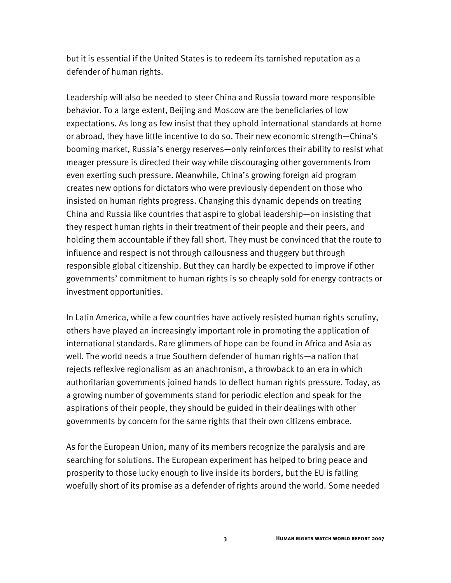but it is essential if the United States is to redeem its tarnished reputation as a defender of human rights.

Leadership will also be needed to steer China and Russia toward more responsible behavior. To a large extent, Beijing and Moscow are the beneficiaries of low expectations. As long as few insist that they uphold international standards at home or abroad, they have little incentive to do so. Their new economic strength—China's booming market, Russia's energy reserves—only reinforces their ability to resist what meager pressure is directed their way while discouraging other governments from even exerting such pressure. Meanwhile, China's growing foreign aid program creates new options for dictators who were previously dependent on those who insisted on human rights progress. Changing this dynamic depends on treating China and Russia like countries that aspire to global leadership—on insisting that they respect human rights in their treatment of their people and their peers, and holding them accountable if they fall short. They must be convinced that the route to influence and respect is not through callousness and thuggery but through responsible global citizenship. But they can hardly be expected to improve if other governments' commitment to human rights is so cheaply sold for energy contracts or investment opportunities.

In Latin America, while a few countries have actively resisted human rights scrutiny, others have played an increasingly important role in promoting the application of international standards. Rare glimmers of hope can be found in Africa and Asia as well. The world needs a true Southern defender of human rights—a nation that rejects reflexive regionalism as an anachronism, a throwback to an era in which authoritarian governments joined hands to deflect human rights pressure. Today, as a growing number of governments stand for periodic election and speak for the aspirations of their people, they should be guided in their dealings with other governments by concern for the same rights that their own citizens embrace.

As for the European Union, many of its members recognize the paralysis and are searching for solutions. The European experiment has helped to bring peace and prosperity to those lucky enough to live inside its borders, but the EU is falling woefully short of its promise as a defender of rights around the world. Some needed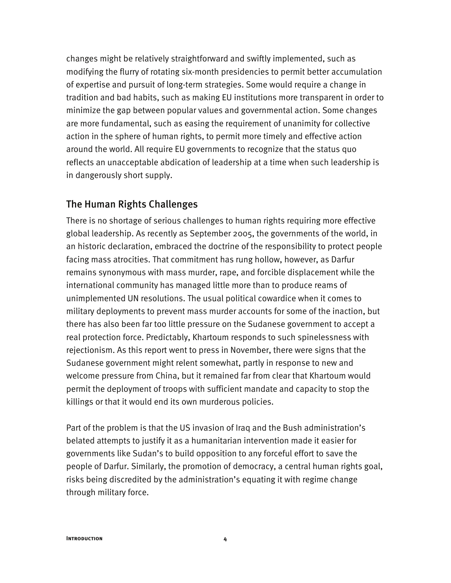changes might be relatively straightforward and swiftly implemented, such as modifying the flurry of rotating six-month presidencies to permit better accumulation of expertise and pursuit of long-term strategies. Some would require a change in tradition and bad habits, such as making EU institutions more transparent in order to minimize the gap between popular values and governmental action. Some changes are more fundamental, such as easing the requirement of unanimity for collective action in the sphere of human rights, to permit more timely and effective action around the world. All require EU governments to recognize that the status quo reflects an unacceptable abdication of leadership at a time when such leadership is in dangerously short supply.

## The Human Rights Challenges

There is no shortage of serious challenges to human rights requiring more effective global leadership. As recently as September 2005, the governments of the world, in an historic declaration, embraced the doctrine of the responsibility to protect people facing mass atrocities. That commitment has rung hollow, however, as Darfur remains synonymous with mass murder, rape, and forcible displacement while the international community has managed little more than to produce reams of unimplemented UN resolutions. The usual political cowardice when it comes to military deployments to prevent mass murder accounts for some of the inaction, but there has also been far too little pressure on the Sudanese government to accept a real protection force. Predictably, Khartoum responds to such spinelessness with rejectionism. As this report went to press in November, there were signs that the Sudanese government might relent somewhat, partly in response to new and welcome pressure from China, but it remained far from clear that Khartoum would permit the deployment of troops with sufficient mandate and capacity to stop the killings or that it would end its own murderous policies.

Part of the problem is that the US invasion of Iraq and the Bush administration's belated attempts to justify it as a humanitarian intervention made it easier for governments like Sudan's to build opposition to any forceful effort to save the people of Darfur. Similarly, the promotion of democracy, a central human rights goal, risks being discredited by the administration's equating it with regime change through military force.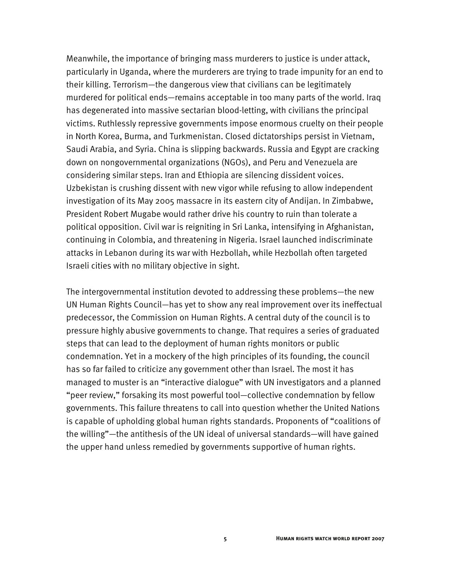Meanwhile, the importance of bringing mass murderers to justice is under attack, particularly in Uganda, where the murderers are trying to trade impunity for an end to their killing. Terrorism—the dangerous view that civilians can be legitimately murdered for political ends—remains acceptable in too many parts of the world. Iraq has degenerated into massive sectarian blood-letting, with civilians the principal victims. Ruthlessly repressive governments impose enormous cruelty on their people in North Korea, Burma, and Turkmenistan. Closed dictatorships persist in Vietnam, Saudi Arabia, and Syria. China is slipping backwards. Russia and Egypt are cracking down on nongovernmental organizations (NGOs), and Peru and Venezuela are considering similar steps. Iran and Ethiopia are silencing dissident voices. Uzbekistan is crushing dissent with new vigor while refusing to allow independent investigation of its May 2005 massacre in its eastern city of Andijan. In Zimbabwe, President Robert Mugabe would rather drive his country to ruin than tolerate a political opposition. Civil war is reigniting in Sri Lanka, intensifying in Afghanistan, continuing in Colombia, and threatening in Nigeria. Israel launched indiscriminate attacks in Lebanon during its war with Hezbollah, while Hezbollah often targeted Israeli cities with no military objective in sight.

The intergovernmental institution devoted to addressing these problems—the new UN Human Rights Council—has yet to show any real improvement over its ineffectual predecessor, the Commission on Human Rights. A central duty of the council is to pressure highly abusive governments to change. That requires a series of graduated steps that can lead to the deployment of human rights monitors or public condemnation. Yet in a mockery of the high principles of its founding, the council has so far failed to criticize any government other than Israel. The most it has managed to muster is an "interactive dialogue" with UN investigators and a planned "peer review," forsaking its most powerful tool—collective condemnation by fellow governments. This failure threatens to call into question whether the United Nations is capable of upholding global human rights standards. Proponents of "coalitions of the willing"—the antithesis of the UN ideal of universal standards—will have gained the upper hand unless remedied by governments supportive of human rights.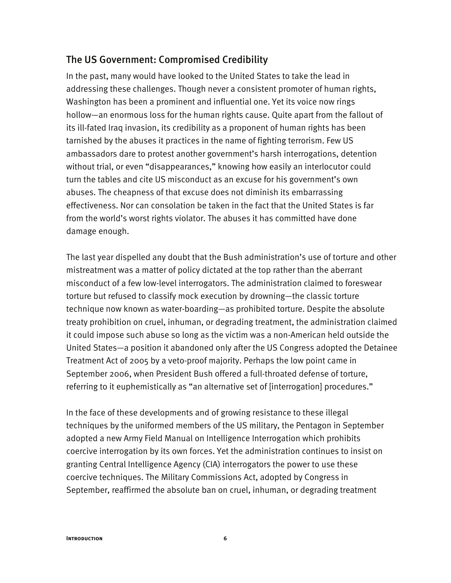# The US Government: Compromised Credibility

In the past, many would have looked to the United States to take the lead in addressing these challenges. Though never a consistent promoter of human rights, Washington has been a prominent and influential one. Yet its voice now rings hollow—an enormous loss for the human rights cause. Quite apart from the fallout of its ill-fated Iraq invasion, its credibility as a proponent of human rights has been tarnished by the abuses it practices in the name of fighting terrorism. Few US ambassadors dare to protest another government's harsh interrogations, detention without trial, or even "disappearances," knowing how easily an interlocutor could turn the tables and cite US misconduct as an excuse for his government's own abuses. The cheapness of that excuse does not diminish its embarrassing effectiveness. Nor can consolation be taken in the fact that the United States is far from the world's worst rights violator. The abuses it has committed have done damage enough.

The last year dispelled any doubt that the Bush administration's use of torture and other mistreatment was a matter of policy dictated at the top rather than the aberrant misconduct of a few low-level interrogators. The administration claimed to foreswear torture but refused to classify mock execution by drowning—the classic torture technique now known as water-boarding—as prohibited torture. Despite the absolute treaty prohibition on cruel, inhuman, or degrading treatment, the administration claimed it could impose such abuse so long as the victim was a non-American held outside the United States—a position it abandoned only after the US Congress adopted the Detainee Treatment Act of 2005 by a veto-proof majority. Perhaps the low point came in September 2006, when President Bush offered a full-throated defense of torture, referring to it euphemistically as "an alternative set of [interrogation] procedures."

In the face of these developments and of growing resistance to these illegal techniques by the uniformed members of the US military, the Pentagon in September adopted a new Army Field Manual on Intelligence Interrogation which prohibits coercive interrogation by its own forces. Yet the administration continues to insist on granting Central Intelligence Agency (CIA) interrogators the power to use these coercive techniques. The Military Commissions Act, adopted by Congress in September, reaffirmed the absolute ban on cruel, inhuman, or degrading treatment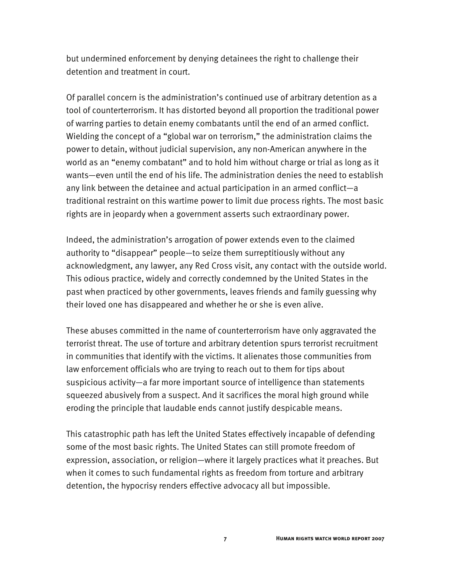but undermined enforcement by denying detainees the right to challenge their detention and treatment in court.

Of parallel concern is the administration's continued use of arbitrary detention as a tool of counterterrorism. It has distorted beyond all proportion the traditional power of warring parties to detain enemy combatants until the end of an armed conflict. Wielding the concept of a "global war on terrorism," the administration claims the power to detain, without judicial supervision, any non-American anywhere in the world as an "enemy combatant" and to hold him without charge or trial as long as it wants—even until the end of his life. The administration denies the need to establish any link between the detainee and actual participation in an armed conflict—a traditional restraint on this wartime power to limit due process rights. The most basic rights are in jeopardy when a government asserts such extraordinary power.

Indeed, the administration's arrogation of power extends even to the claimed authority to "disappear" people—to seize them surreptitiously without any acknowledgment, any lawyer, any Red Cross visit, any contact with the outside world. This odious practice, widely and correctly condemned by the United States in the past when practiced by other governments, leaves friends and family guessing why their loved one has disappeared and whether he or she is even alive.

These abuses committed in the name of counterterrorism have only aggravated the terrorist threat. The use of torture and arbitrary detention spurs terrorist recruitment in communities that identify with the victims. It alienates those communities from law enforcement officials who are trying to reach out to them for tips about suspicious activity—a far more important source of intelligence than statements squeezed abusively from a suspect. And it sacrifices the moral high ground while eroding the principle that laudable ends cannot justify despicable means.

This catastrophic path has left the United States effectively incapable of defending some of the most basic rights. The United States can still promote freedom of expression, association, or religion—where it largely practices what it preaches. But when it comes to such fundamental rights as freedom from torture and arbitrary detention, the hypocrisy renders effective advocacy all but impossible.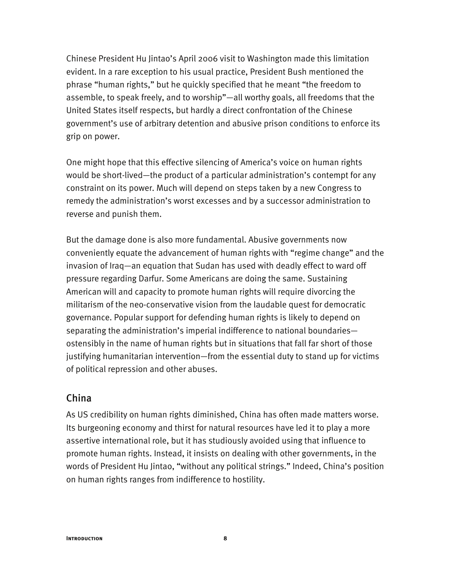Chinese President Hu Jintao's April 2006 visit to Washington made this limitation evident. In a rare exception to his usual practice, President Bush mentioned the phrase "human rights," but he quickly specified that he meant "the freedom to assemble, to speak freely, and to worship"—all worthy goals, all freedoms that the United States itself respects, but hardly a direct confrontation of the Chinese government's use of arbitrary detention and abusive prison conditions to enforce its grip on power.

One might hope that this effective silencing of America's voice on human rights would be short-lived—the product of a particular administration's contempt for any constraint on its power. Much will depend on steps taken by a new Congress to remedy the administration's worst excesses and by a successor administration to reverse and punish them.

But the damage done is also more fundamental. Abusive governments now conveniently equate the advancement of human rights with "regime change" and the invasion of Iraq—an equation that Sudan has used with deadly effect to ward off pressure regarding Darfur. Some Americans are doing the same. Sustaining American will and capacity to promote human rights will require divorcing the militarism of the neo-conservative vision from the laudable quest for democratic governance. Popular support for defending human rights is likely to depend on separating the administration's imperial indifference to national boundaries ostensibly in the name of human rights but in situations that fall far short of those justifying humanitarian intervention—from the essential duty to stand up for victims of political repression and other abuses.

### China

As US credibility on human rights diminished, China has often made matters worse. Its burgeoning economy and thirst for natural resources have led it to play a more assertive international role, but it has studiously avoided using that influence to promote human rights. Instead, it insists on dealing with other governments, in the words of President Hu Jintao, "without any political strings." Indeed, China's position on human rights ranges from indifference to hostility.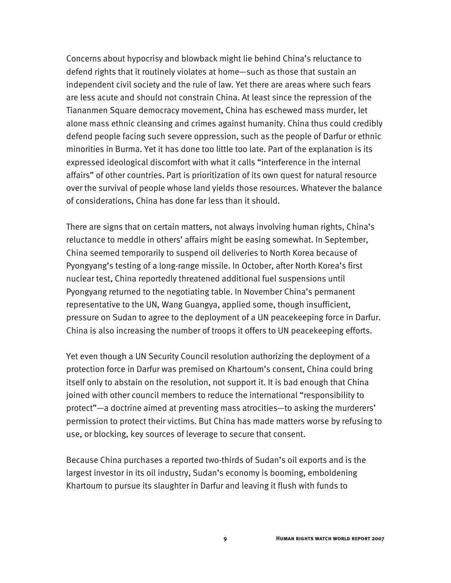Concerns about hypocrisy and blowback might lie behind China's reluctance to defend rights that it routinely violates at home—such as those that sustain an independent civil society and the rule of law. Yet there are areas where such fears are less acute and should not constrain China. At least since the repression of the Tiananmen Square democracy movement, China has eschewed mass murder, let alone mass ethnic cleansing and crimes against humanity. China thus could credibly defend people facing such severe oppression, such as the people of Darfur or ethnic minorities in Burma. Yet it has done too little too late. Part of the explanation is its expressed ideological discomfort with what it calls "interference in the internal affairs" of other countries. Part is prioritization of its own quest for natural resource over the survival of people whose land yields those resources. Whatever the balance of considerations, China has done far less than it should.

There are signs that on certain matters, not always involving human rights, China's reluctance to meddle in others' affairs might be easing somewhat. In September, China seemed temporarily to suspend oil deliveries to North Korea because of Pyongyang's testing of a long-range missile. In October, after North Korea's first nuclear test, China reportedly threatened additional fuel suspensions until Pyongyang returned to the negotiating table. In November China's permanent representative to the UN, Wang Guangya, applied some, though insufficient, pressure on Sudan to agree to the deployment of a UN peacekeeping force in Darfur. China is also increasing the number of troops it offers to UN peacekeeping efforts.

Yet even though a UN Security Council resolution authorizing the deployment of a protection force in Darfur was premised on Khartoum's consent, China could bring itself only to abstain on the resolution, not support it. It is bad enough that China joined with other council members to reduce the international "responsibility to protect"—a doctrine aimed at preventing mass atrocities—to asking the murderers' permission to protect their victims. But China has made matters worse by refusing to use, or blocking, key sources of leverage to secure that consent.

Because China purchases a reported two-thirds of Sudan's oil exports and is the largest investor in its oil industry, Sudan's economy is booming, emboldening Khartoum to pursue its slaughter in Darfur and leaving it flush with funds to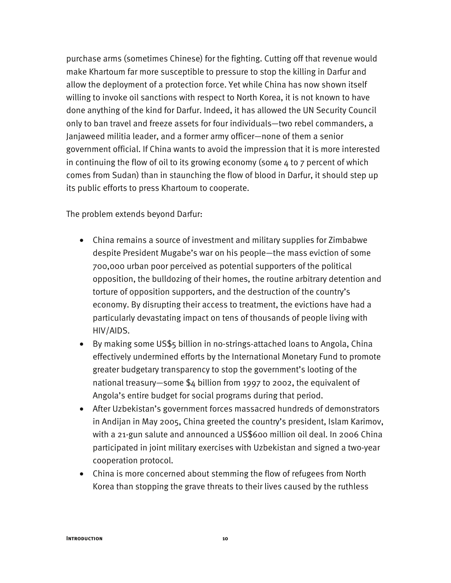purchase arms (sometimes Chinese) for the fighting. Cutting off that revenue would make Khartoum far more susceptible to pressure to stop the killing in Darfur and allow the deployment of a protection force. Yet while China has now shown itself willing to invoke oil sanctions with respect to North Korea, it is not known to have done anything of the kind for Darfur. Indeed, it has allowed the UN Security Council only to ban travel and freeze assets for four individuals—two rebel commanders, a Janjaweed militia leader, and a former army officer—none of them a senior government official. If China wants to avoid the impression that it is more interested in continuing the flow of oil to its growing economy (some  $\mu$  to 7 percent of which comes from Sudan) than in staunching the flow of blood in Darfur, it should step up its public efforts to press Khartoum to cooperate.

The problem extends beyond Darfur:

- China remains a source of investment and military supplies for Zimbabwe despite President Mugabe's war on his people—the mass eviction of some 700,000 urban poor perceived as potential supporters of the political opposition, the bulldozing of their homes, the routine arbitrary detention and torture of opposition supporters, and the destruction of the country's economy. By disrupting their access to treatment, the evictions have had a particularly devastating impact on tens of thousands of people living with HIV/AIDS.
- By making some US\$5 billion in no-strings-attached loans to Angola, China effectively undermined efforts by the International Monetary Fund to promote greater budgetary transparency to stop the government's looting of the national treasury—some \$4 billion from 1997 to 2002, the equivalent of Angola's entire budget for social programs during that period.
- After Uzbekistan's government forces massacred hundreds of demonstrators in Andijan in May 2005, China greeted the country's president, Islam Karimov, with a 21-gun salute and announced a US\$600 million oil deal. In 2006 China participated in joint military exercises with Uzbekistan and signed a two-year cooperation protocol.
- China is more concerned about stemming the flow of refugees from North Korea than stopping the grave threats to their lives caused by the ruthless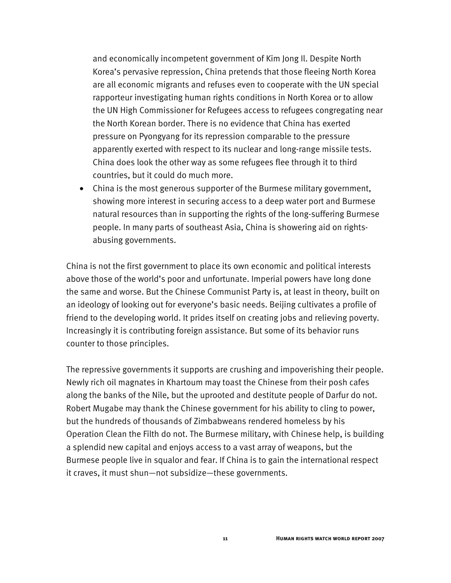and economically incompetent government of Kim Jong Il. Despite North Korea's pervasive repression, China pretends that those fleeing North Korea are all economic migrants and refuses even to cooperate with the UN special rapporteur investigating human rights conditions in North Korea or to allow the UN High Commissioner for Refugees access to refugees congregating near the North Korean border. There is no evidence that China has exerted pressure on Pyongyang for its repression comparable to the pressure apparently exerted with respect to its nuclear and long-range missile tests. China does look the other way as some refugees flee through it to third countries, but it could do much more.

• China is the most generous supporter of the Burmese military government, showing more interest in securing access to a deep water port and Burmese natural resources than in supporting the rights of the long-suffering Burmese people. In many parts of southeast Asia, China is showering aid on rightsabusing governments.

China is not the first government to place its own economic and political interests above those of the world's poor and unfortunate. Imperial powers have long done the same and worse. But the Chinese Communist Party is, at least in theory, built on an ideology of looking out for everyone's basic needs. Beijing cultivates a profile of friend to the developing world. It prides itself on creating jobs and relieving poverty. Increasingly it is contributing foreign assistance. But some of its behavior runs counter to those principles.

The repressive governments it supports are crushing and impoverishing their people. Newly rich oil magnates in Khartoum may toast the Chinese from their posh cafes along the banks of the Nile, but the uprooted and destitute people of Darfur do not. Robert Mugabe may thank the Chinese government for his ability to cling to power, but the hundreds of thousands of Zimbabweans rendered homeless by his Operation Clean the Filth do not. The Burmese military, with Chinese help, is building a splendid new capital and enjoys access to a vast array of weapons, but the Burmese people live in squalor and fear. If China is to gain the international respect it craves, it must shun—not subsidize—these governments.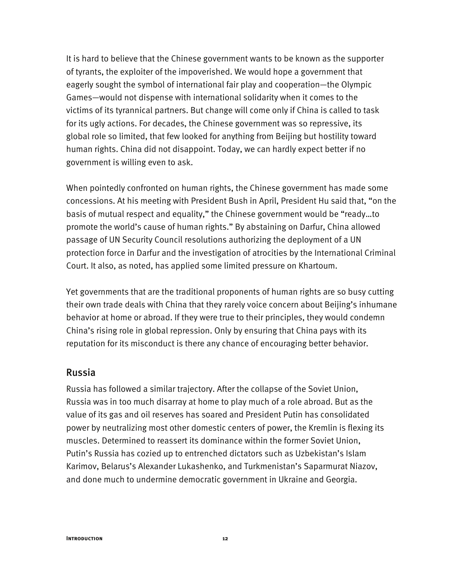It is hard to believe that the Chinese government wants to be known as the supporter of tyrants, the exploiter of the impoverished. We would hope a government that eagerly sought the symbol of international fair play and cooperation—the Olympic Games—would not dispense with international solidarity when it comes to the victims of its tyrannical partners. But change will come only if China is called to task for its ugly actions. For decades, the Chinese government was so repressive, its global role so limited, that few looked for anything from Beijing but hostility toward human rights. China did not disappoint. Today, we can hardly expect better if no government is willing even to ask.

When pointedly confronted on human rights, the Chinese government has made some concessions. At his meeting with President Bush in April, President Hu said that, "on the basis of mutual respect and equality," the Chinese government would be "ready…to promote the world's cause of human rights." By abstaining on Darfur, China allowed passage of UN Security Council resolutions authorizing the deployment of a UN protection force in Darfur and the investigation of atrocities by the International Criminal Court. It also, as noted, has applied some limited pressure on Khartoum.

Yet governments that are the traditional proponents of human rights are so busy cutting their own trade deals with China that they rarely voice concern about Beijing's inhumane behavior at home or abroad. If they were true to their principles, they would condemn China's rising role in global repression. Only by ensuring that China pays with its reputation for its misconduct is there any chance of encouraging better behavior.

#### Russia

Russia has followed a similar trajectory. After the collapse of the Soviet Union, Russia was in too much disarray at home to play much of a role abroad. But as the value of its gas and oil reserves has soared and President Putin has consolidated power by neutralizing most other domestic centers of power, the Kremlin is flexing its muscles. Determined to reassert its dominance within the former Soviet Union, Putin's Russia has cozied up to entrenched dictators such as Uzbekistan's Islam Karimov, Belarus's Alexander Lukashenko, and Turkmenistan's Saparmurat Niazov, and done much to undermine democratic government in Ukraine and Georgia.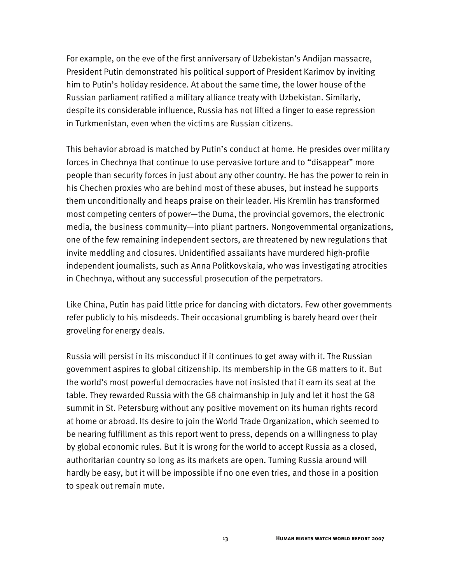For example, on the eve of the first anniversary of Uzbekistan's Andijan massacre, President Putin demonstrated his political support of President Karimov by inviting him to Putin's holiday residence. At about the same time, the lower house of the Russian parliament ratified a military alliance treaty with Uzbekistan. Similarly, despite its considerable influence, Russia has not lifted a finger to ease repression in Turkmenistan, even when the victims are Russian citizens.

This behavior abroad is matched by Putin's conduct at home. He presides over military forces in Chechnya that continue to use pervasive torture and to "disappear" more people than security forces in just about any other country. He has the power to rein in his Chechen proxies who are behind most of these abuses, but instead he supports them unconditionally and heaps praise on their leader. His Kremlin has transformed most competing centers of power—the Duma, the provincial governors, the electronic media, the business community—into pliant partners. Nongovernmental organizations, one of the few remaining independent sectors, are threatened by new regulations that invite meddling and closures. Unidentified assailants have murdered high-profile independent journalists, such as Anna Politkovskaia, who was investigating atrocities in Chechnya, without any successful prosecution of the perpetrators.

Like China, Putin has paid little price for dancing with dictators. Few other governments refer publicly to his misdeeds. Their occasional grumbling is barely heard over their groveling for energy deals.

Russia will persist in its misconduct if it continues to get away with it. The Russian government aspires to global citizenship. Its membership in the G8 matters to it. But the world's most powerful democracies have not insisted that it earn its seat at the table. They rewarded Russia with the G8 chairmanship in July and let it host the G8 summit in St. Petersburg without any positive movement on its human rights record at home or abroad. Its desire to join the World Trade Organization, which seemed to be nearing fulfillment as this report went to press, depends on a willingness to play by global economic rules. But it is wrong for the world to accept Russia as a closed, authoritarian country so long as its markets are open. Turning Russia around will hardly be easy, but it will be impossible if no one even tries, and those in a position to speak out remain mute.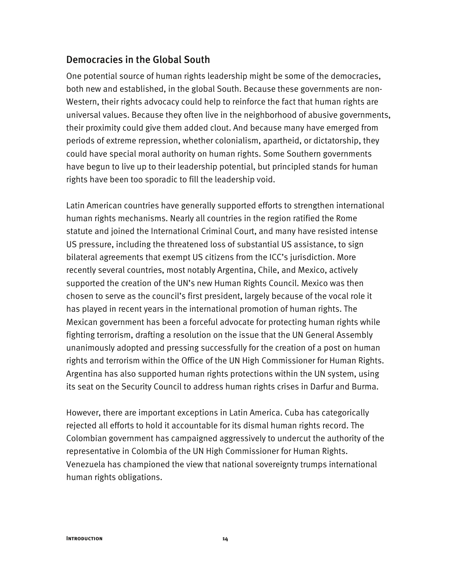# Democracies in the Global South

One potential source of human rights leadership might be some of the democracies, both new and established, in the global South. Because these governments are non-Western, their rights advocacy could help to reinforce the fact that human rights are universal values. Because they often live in the neighborhood of abusive governments, their proximity could give them added clout. And because many have emerged from periods of extreme repression, whether colonialism, apartheid, or dictatorship, they could have special moral authority on human rights. Some Southern governments have begun to live up to their leadership potential, but principled stands for human rights have been too sporadic to fill the leadership void.

Latin American countries have generally supported efforts to strengthen international human rights mechanisms. Nearly all countries in the region ratified the Rome statute and joined the International Criminal Court, and many have resisted intense US pressure, including the threatened loss of substantial US assistance, to sign bilateral agreements that exempt US citizens from the ICC's jurisdiction. More recently several countries, most notably Argentina, Chile, and Mexico, actively supported the creation of the UN's new Human Rights Council. Mexico was then chosen to serve as the council's first president, largely because of the vocal role it has played in recent years in the international promotion of human rights. The Mexican government has been a forceful advocate for protecting human rights while fighting terrorism, drafting a resolution on the issue that the UN General Assembly unanimously adopted and pressing successfully for the creation of a post on human rights and terrorism within the Office of the UN High Commissioner for Human Rights. Argentina has also supported human rights protections within the UN system, using its seat on the Security Council to address human rights crises in Darfur and Burma.

However, there are important exceptions in Latin America. Cuba has categorically rejected all efforts to hold it accountable for its dismal human rights record. The Colombian government has campaigned aggressively to undercut the authority of the representative in Colombia of the UN High Commissioner for Human Rights. Venezuela has championed the view that national sovereignty trumps international human rights obligations.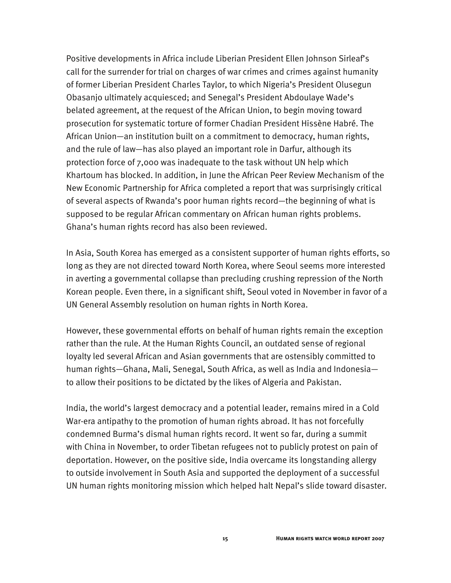Positive developments in Africa include Liberian President Ellen Johnson Sirleaf's call for the surrender for trial on charges of war crimes and crimes against humanity of former Liberian President Charles Taylor, to which Nigeria's President Olusegun Obasanjo ultimately acquiesced; and Senegal's President Abdoulaye Wade's belated agreement, at the request of the African Union, to begin moving toward prosecution for systematic torture of former Chadian President Hissène Habré. The African Union—an institution built on a commitment to democracy, human rights, and the rule of law—has also played an important role in Darfur, although its protection force of 7,000 was inadequate to the task without UN help which Khartoum has blocked. In addition, in June the African Peer Review Mechanism of the New Economic Partnership for Africa completed a report that was surprisingly critical of several aspects of Rwanda's poor human rights record—the beginning of what is supposed to be regular African commentary on African human rights problems. Ghana's human rights record has also been reviewed.

In Asia, South Korea has emerged as a consistent supporter of human rights efforts, so long as they are not directed toward North Korea, where Seoul seems more interested in averting a governmental collapse than precluding crushing repression of the North Korean people. Even there, in a significant shift, Seoul voted in November in favor of a UN General Assembly resolution on human rights in North Korea.

However, these governmental efforts on behalf of human rights remain the exception rather than the rule. At the Human Rights Council, an outdated sense of regional loyalty led several African and Asian governments that are ostensibly committed to human rights—Ghana, Mali, Senegal, South Africa, as well as India and Indonesia to allow their positions to be dictated by the likes of Algeria and Pakistan.

India, the world's largest democracy and a potential leader, remains mired in a Cold War-era antipathy to the promotion of human rights abroad. It has not forcefully condemned Burma's dismal human rights record. It went so far, during a summit with China in November, to order Tibetan refugees not to publicly protest on pain of deportation. However, on the positive side, India overcame its longstanding allergy to outside involvement in South Asia and supported the deployment of a successful UN human rights monitoring mission which helped halt Nepal's slide toward disaster.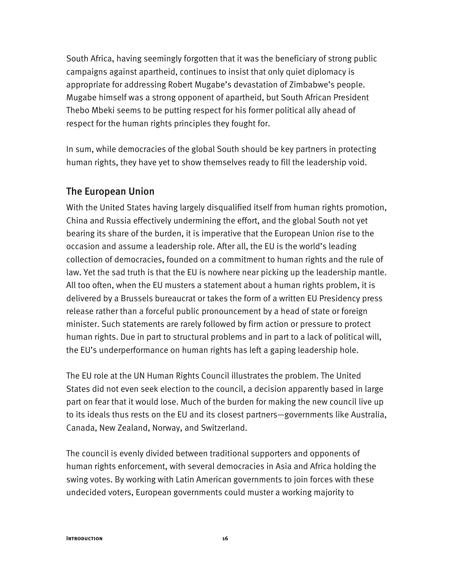South Africa, having seemingly forgotten that it was the beneficiary of strong public campaigns against apartheid, continues to insist that only quiet diplomacy is appropriate for addressing Robert Mugabe's devastation of Zimbabwe's people. Mugabe himself was a strong opponent of apartheid, but South African President Thebo Mbeki seems to be putting respect for his former political ally ahead of respect for the human rights principles they fought for.

In sum, while democracies of the global South should be key partners in protecting human rights, they have yet to show themselves ready to fill the leadership void.

## The European Union

With the United States having largely disqualified itself from human rights promotion, China and Russia effectively undermining the effort, and the global South not yet bearing its share of the burden, it is imperative that the European Union rise to the occasion and assume a leadership role. After all, the EU is the world's leading collection of democracies, founded on a commitment to human rights and the rule of law. Yet the sad truth is that the EU is nowhere near picking up the leadership mantle. All too often, when the EU musters a statement about a human rights problem, it is delivered by a Brussels bureaucrat or takes the form of a written EU Presidency press release rather than a forceful public pronouncement by a head of state or foreign minister. Such statements are rarely followed by firm action or pressure to protect human rights. Due in part to structural problems and in part to a lack of political will, the EU's underperformance on human rights has left a gaping leadership hole.

The EU role at the UN Human Rights Council illustrates the problem. The United States did not even seek election to the council, a decision apparently based in large part on fear that it would lose. Much of the burden for making the new council live up to its ideals thus rests on the EU and its closest partners—governments like Australia, Canada, New Zealand, Norway, and Switzerland.

The council is evenly divided between traditional supporters and opponents of human rights enforcement, with several democracies in Asia and Africa holding the swing votes. By working with Latin American governments to join forces with these undecided voters, European governments could muster a working majority to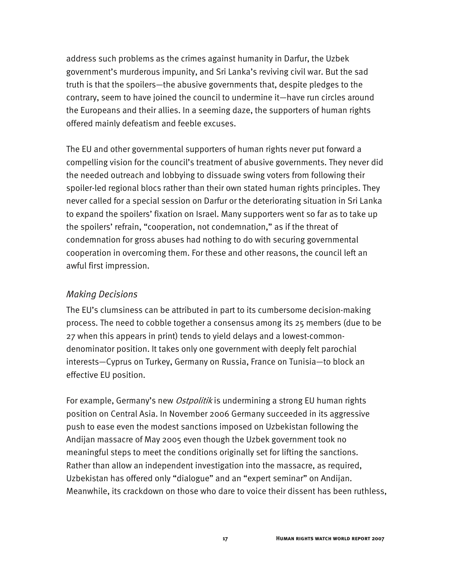address such problems as the crimes against humanity in Darfur, the Uzbek government's murderous impunity, and Sri Lanka's reviving civil war. But the sad truth is that the spoilers—the abusive governments that, despite pledges to the contrary, seem to have joined the council to undermine it—have run circles around the Europeans and their allies. In a seeming daze, the supporters of human rights offered mainly defeatism and feeble excuses.

The EU and other governmental supporters of human rights never put forward a compelling vision for the council's treatment of abusive governments. They never did the needed outreach and lobbying to dissuade swing voters from following their spoiler-led regional blocs rather than their own stated human rights principles. They never called for a special session on Darfur or the deteriorating situation in Sri Lanka to expand the spoilers' fixation on Israel. Many supporters went so far as to take up the spoilers' refrain, "cooperation, not condemnation," as if the threat of condemnation for gross abuses had nothing to do with securing governmental cooperation in overcoming them. For these and other reasons, the council left an awful first impression.

### *Making Decisions*

The EU's clumsiness can be attributed in part to its cumbersome decision-making process. The need to cobble together a consensus among its 25 members (due to be 27 when this appears in print) tends to yield delays and a lowest-commondenominator position. It takes only one government with deeply felt parochial interests—Cyprus on Turkey, Germany on Russia, France on Tunisia—to block an effective EU position.

For example, Germany's new *Ostpolitik* is undermining a strong EU human rights position on Central Asia. In November 2006 Germany succeeded in its aggressive push to ease even the modest sanctions imposed on Uzbekistan following the Andijan massacre of May 2005 even though the Uzbek government took no meaningful steps to meet the conditions originally set for lifting the sanctions. Rather than allow an independent investigation into the massacre, as required, Uzbekistan has offered only "dialogue" and an "expert seminar" on Andijan. Meanwhile, its crackdown on those who dare to voice their dissent has been ruthless,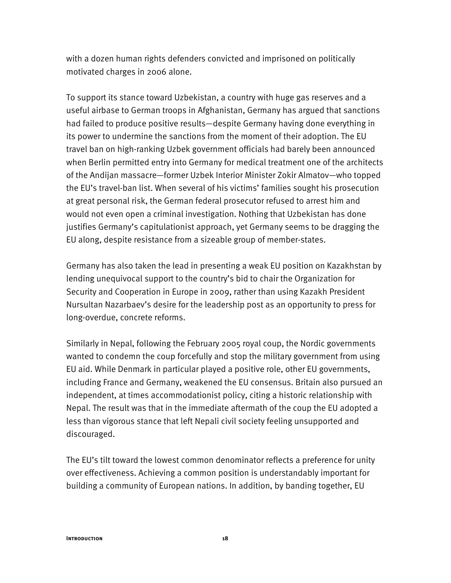with a dozen human rights defenders convicted and imprisoned on politically motivated charges in 2006 alone.

To support its stance toward Uzbekistan, a country with huge gas reserves and a useful airbase to German troops in Afghanistan, Germany has argued that sanctions had failed to produce positive results—despite Germany having done everything in its power to undermine the sanctions from the moment of their adoption. The EU travel ban on high-ranking Uzbek government officials had barely been announced when Berlin permitted entry into Germany for medical treatment one of the architects of the Andijan massacre—former Uzbek Interior Minister Zokir Almatov—who topped the EU's travel-ban list. When several of his victims' families sought his prosecution at great personal risk, the German federal prosecutor refused to arrest him and would not even open a criminal investigation. Nothing that Uzbekistan has done justifies Germany's capitulationist approach, yet Germany seems to be dragging the EU along, despite resistance from a sizeable group of member-states.

Germany has also taken the lead in presenting a weak EU position on Kazakhstan by lending unequivocal support to the country's bid to chair the Organization for Security and Cooperation in Europe in 2009, rather than using Kazakh President Nursultan Nazarbaev's desire for the leadership post as an opportunity to press for long-overdue, concrete reforms.

Similarly in Nepal, following the February 2005 royal coup, the Nordic governments wanted to condemn the coup forcefully and stop the military government from using EU aid. While Denmark in particular played a positive role, other EU governments, including France and Germany, weakened the EU consensus. Britain also pursued an independent, at times accommodationist policy, citing a historic relationship with Nepal. The result was that in the immediate aftermath of the coup the EU adopted a less than vigorous stance that left Nepali civil society feeling unsupported and discouraged.

The EU's tilt toward the lowest common denominator reflects a preference for unity over effectiveness. Achieving a common position is understandably important for building a community of European nations. In addition, by banding together, EU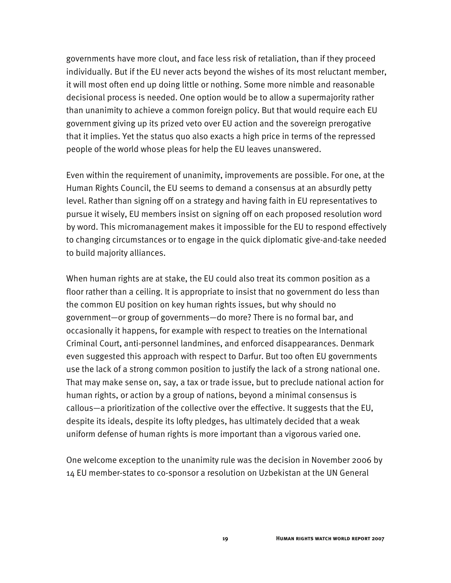governments have more clout, and face less risk of retaliation, than if they proceed individually. But if the EU never acts beyond the wishes of its most reluctant member, it will most often end up doing little or nothing. Some more nimble and reasonable decisional process is needed. One option would be to allow a supermajority rather than unanimity to achieve a common foreign policy. But that would require each EU government giving up its prized veto over EU action and the sovereign prerogative that it implies. Yet the status quo also exacts a high price in terms of the repressed people of the world whose pleas for help the EU leaves unanswered.

Even within the requirement of unanimity, improvements are possible. For one, at the Human Rights Council, the EU seems to demand a consensus at an absurdly petty level. Rather than signing off on a strategy and having faith in EU representatives to pursue it wisely, EU members insist on signing off on each proposed resolution word by word. This micromanagement makes it impossible for the EU to respond effectively to changing circumstances or to engage in the quick diplomatic give-and-take needed to build majority alliances.

When human rights are at stake, the EU could also treat its common position as a floor rather than a ceiling. It is appropriate to insist that no government do less than the common EU position on key human rights issues, but why should no government—or group of governments—do more? There is no formal bar, and occasionally it happens, for example with respect to treaties on the International Criminal Court, anti-personnel landmines, and enforced disappearances. Denmark even suggested this approach with respect to Darfur. But too often EU governments use the lack of a strong common position to justify the lack of a strong national one. That may make sense on, say, a tax or trade issue, but to preclude national action for human rights, or action by a group of nations, beyond a minimal consensus is callous—a prioritization of the collective over the effective. It suggests that the EU, despite its ideals, despite its lofty pledges, has ultimately decided that a weak uniform defense of human rights is more important than a vigorous varied one.

One welcome exception to the unanimity rule was the decision in November 2006 by 14 EU member-states to co-sponsor a resolution on Uzbekistan at the UN General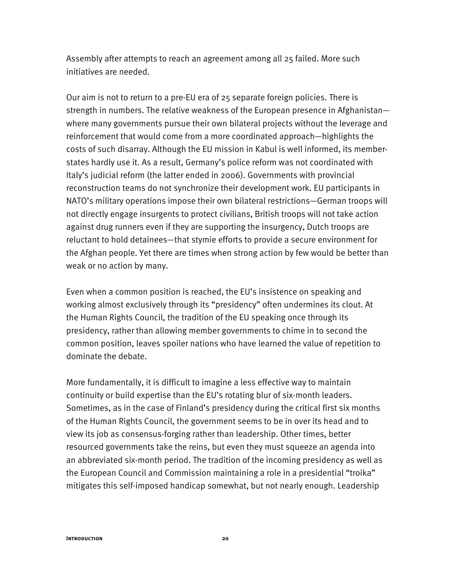Assembly after attempts to reach an agreement among all 25 failed. More such initiatives are needed.

Our aim is not to return to a pre-EU era of 25 separate foreign policies. There is strength in numbers. The relative weakness of the European presence in Afghanistan where many governments pursue their own bilateral projects without the leverage and reinforcement that would come from a more coordinated approach—highlights the costs of such disarray. Although the EU mission in Kabul is well informed, its memberstates hardly use it. As a result, Germany's police reform was not coordinated with Italy's judicial reform (the latter ended in 2006). Governments with provincial reconstruction teams do not synchronize their development work. EU participants in NATO's military operations impose their own bilateral restrictions—German troops will not directly engage insurgents to protect civilians, British troops will not take action against drug runners even if they are supporting the insurgency, Dutch troops are reluctant to hold detainees—that stymie efforts to provide a secure environment for the Afghan people. Yet there are times when strong action by few would be better than weak or no action by many.

Even when a common position is reached, the EU's insistence on speaking and working almost exclusively through its "presidency" often undermines its clout. At the Human Rights Council, the tradition of the EU speaking once through its presidency, rather than allowing member governments to chime in to second the common position, leaves spoiler nations who have learned the value of repetition to dominate the debate.

More fundamentally, it is difficult to imagine a less effective way to maintain continuity or build expertise than the EU's rotating blur of six-month leaders. Sometimes, as in the case of Finland's presidency during the critical first six months of the Human Rights Council, the government seems to be in over its head and to view its job as consensus-forging rather than leadership. Other times, better resourced governments take the reins, but even they must squeeze an agenda into an abbreviated six-month period. The tradition of the incoming presidency as well as the European Council and Commission maintaining a role in a presidential "troika" mitigates this self-imposed handicap somewhat, but not nearly enough. Leadership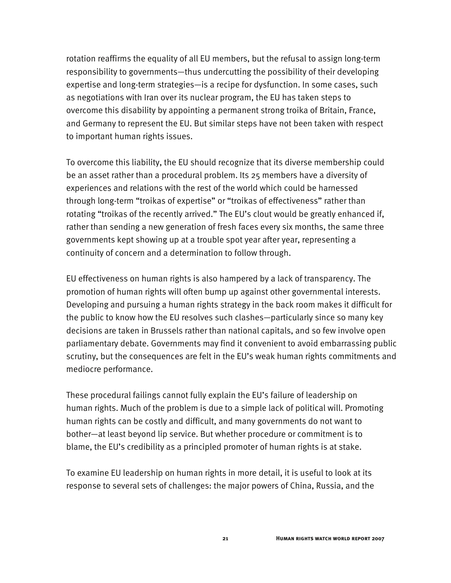rotation reaffirms the equality of all EU members, but the refusal to assign long-term responsibility to governments—thus undercutting the possibility of their developing expertise and long-term strategies—is a recipe for dysfunction. In some cases, such as negotiations with Iran over its nuclear program, the EU has taken steps to overcome this disability by appointing a permanent strong troika of Britain, France, and Germany to represent the EU. But similar steps have not been taken with respect to important human rights issues.

To overcome this liability, the EU should recognize that its diverse membership could be an asset rather than a procedural problem. Its 25 members have a diversity of experiences and relations with the rest of the world which could be harnessed through long-term "troikas of expertise" or "troikas of effectiveness" rather than rotating "troikas of the recently arrived." The EU's clout would be greatly enhanced if, rather than sending a new generation of fresh faces every six months, the same three governments kept showing up at a trouble spot year after year, representing a continuity of concern and a determination to follow through.

EU effectiveness on human rights is also hampered by a lack of transparency. The promotion of human rights will often bump up against other governmental interests. Developing and pursuing a human rights strategy in the back room makes it difficult for the public to know how the EU resolves such clashes—particularly since so many key decisions are taken in Brussels rather than national capitals, and so few involve open parliamentary debate. Governments may find it convenient to avoid embarrassing public scrutiny, but the consequences are felt in the EU's weak human rights commitments and mediocre performance.

These procedural failings cannot fully explain the EU's failure of leadership on human rights. Much of the problem is due to a simple lack of political will. Promoting human rights can be costly and difficult, and many governments do not want to bother—at least beyond lip service. But whether procedure or commitment is to blame, the EU's credibility as a principled promoter of human rights is at stake.

To examine EU leadership on human rights in more detail, it is useful to look at its response to several sets of challenges: the major powers of China, Russia, and the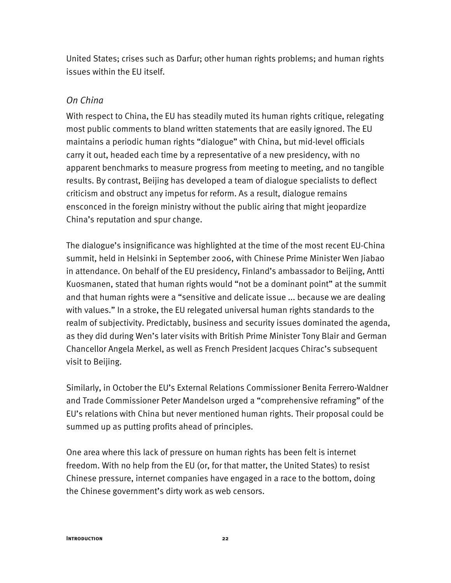United States; crises such as Darfur; other human rights problems; and human rights issues within the EU itself.

## *On China*

With respect to China, the EU has steadily muted its human rights critique, relegating most public comments to bland written statements that are easily ignored. The EU maintains a periodic human rights "dialogue" with China, but mid-level officials carry it out, headed each time by a representative of a new presidency, with no apparent benchmarks to measure progress from meeting to meeting, and no tangible results. By contrast, Beijing has developed a team of dialogue specialists to deflect criticism and obstruct any impetus for reform. As a result, dialogue remains ensconced in the foreign ministry without the public airing that might jeopardize China's reputation and spur change.

The dialogue's insignificance was highlighted at the time of the most recent EU-China summit, held in Helsinki in September 2006, with Chinese Prime Minister Wen Jiabao in attendance. On behalf of the EU presidency, Finland's ambassador to Beijing, Antti Kuosmanen, stated that human rights would "not be a dominant point" at the summit and that human rights were a "sensitive and delicate issue ... because we are dealing with values." In a stroke, the EU relegated universal human rights standards to the realm of subjectivity. Predictably, business and security issues dominated the agenda, as they did during Wen's later visits with British Prime Minister Tony Blair and German Chancellor Angela Merkel, as well as French President Jacques Chirac's subsequent visit to Beijing.

Similarly, in October the EU's External Relations Commissioner Benita Ferrero-Waldner and Trade Commissioner Peter Mandelson urged a "comprehensive reframing" of the EU's relations with China but never mentioned human rights. Their proposal could be summed up as putting profits ahead of principles.

One area where this lack of pressure on human rights has been felt is internet freedom. With no help from the EU (or, for that matter, the United States) to resist Chinese pressure, internet companies have engaged in a race to the bottom, doing the Chinese government's dirty work as web censors.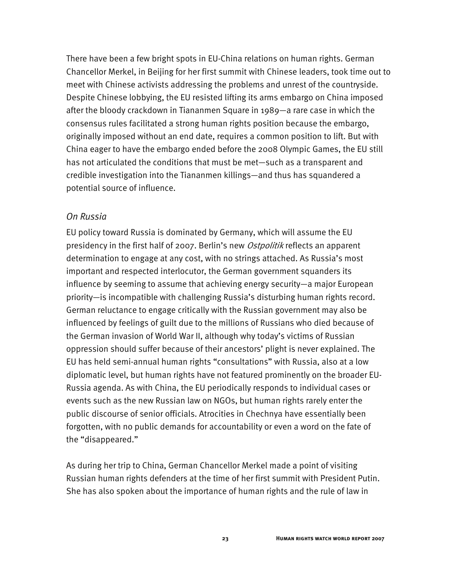There have been a few bright spots in EU-China relations on human rights. German Chancellor Merkel, in Beijing for her first summit with Chinese leaders, took time out to meet with Chinese activists addressing the problems and unrest of the countryside. Despite Chinese lobbying, the EU resisted lifting its arms embargo on China imposed after the bloody crackdown in Tiananmen Square in 1989—a rare case in which the consensus rules facilitated a strong human rights position because the embargo, originally imposed without an end date, requires a common position to lift. But with China eager to have the embargo ended before the 2008 Olympic Games, the EU still has not articulated the conditions that must be met—such as a transparent and credible investigation into the Tiananmen killings—and thus has squandered a potential source of influence.

#### *On Russia*

EU policy toward Russia is dominated by Germany, which will assume the EU presidency in the first half of 2007. Berlin's new Ostpolitik reflects an apparent determination to engage at any cost, with no strings attached. As Russia's most important and respected interlocutor, the German government squanders its influence by seeming to assume that achieving energy security—a major European priority—is incompatible with challenging Russia's disturbing human rights record. German reluctance to engage critically with the Russian government may also be influenced by feelings of guilt due to the millions of Russians who died because of the German invasion of World War II, although why today's victims of Russian oppression should suffer because of their ancestors' plight is never explained. The EU has held semi-annual human rights "consultations" with Russia, also at a low diplomatic level, but human rights have not featured prominently on the broader EU-Russia agenda. As with China, the EU periodically responds to individual cases or events such as the new Russian law on NGOs, but human rights rarely enter the public discourse of senior officials. Atrocities in Chechnya have essentially been forgotten, with no public demands for accountability or even a word on the fate of the "disappeared."

As during her trip to China, German Chancellor Merkel made a point of visiting Russian human rights defenders at the time of her first summit with President Putin. She has also spoken about the importance of human rights and the rule of law in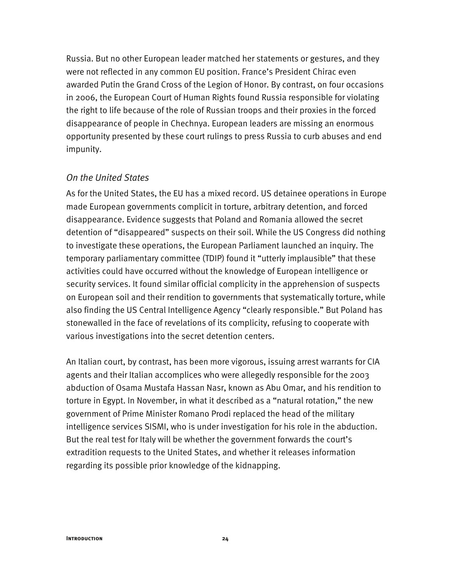Russia. But no other European leader matched her statements or gestures, and they were not reflected in any common EU position. France's President Chirac even awarded Putin the Grand Cross of the Legion of Honor. By contrast, on four occasions in 2006, the European Court of Human Rights found Russia responsible for violating the right to life because of the role of Russian troops and their proxies in the forced disappearance of people in Chechnya. European leaders are missing an enormous opportunity presented by these court rulings to press Russia to curb abuses and end impunity.

#### *On the United States*

As for the United States, the EU has a mixed record. US detainee operations in Europe made European governments complicit in torture, arbitrary detention, and forced disappearance. Evidence suggests that Poland and Romania allowed the secret detention of "disappeared" suspects on their soil. While the US Congress did nothing to investigate these operations, the European Parliament launched an inquiry. The temporary parliamentary committee (TDIP) found it "utterly implausible" that these activities could have occurred without the knowledge of European intelligence or security services. It found similar official complicity in the apprehension of suspects on European soil and their rendition to governments that systematically torture, while also finding the US Central Intelligence Agency "clearly responsible." But Poland has stonewalled in the face of revelations of its complicity, refusing to cooperate with various investigations into the secret detention centers.

An Italian court, by contrast, has been more vigorous, issuing arrest warrants for CIA agents and their Italian accomplices who were allegedly responsible for the 2003 abduction of Osama Mustafa Hassan Nasr, known as Abu Omar, and his rendition to torture in Egypt. In November, in what it described as a "natural rotation," the new government of Prime Minister Romano Prodi replaced the head of the military intelligence services SISMI, who is under investigation for his role in the abduction. But the real test for Italy will be whether the government forwards the court's extradition requests to the United States, and whether it releases information regarding its possible prior knowledge of the kidnapping.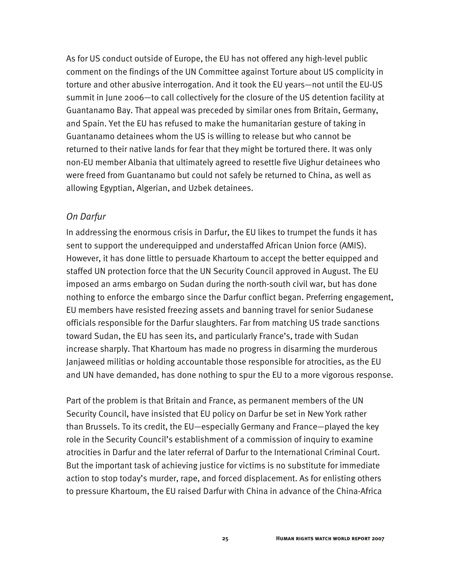As for US conduct outside of Europe, the EU has not offered any high-level public comment on the findings of the UN Committee against Torture about US complicity in torture and other abusive interrogation. And it took the EU years—not until the EU-US summit in June 2006—to call collectively for the closure of the US detention facility at Guantanamo Bay. That appeal was preceded by similar ones from Britain, Germany, and Spain. Yet the EU has refused to make the humanitarian gesture of taking in Guantanamo detainees whom the US is willing to release but who cannot be returned to their native lands for fear that they might be tortured there. It was only non-EU member Albania that ultimately agreed to resettle five Uighur detainees who were freed from Guantanamo but could not safely be returned to China, as well as allowing Egyptian, Algerian, and Uzbek detainees.

#### *On Darfur*

In addressing the enormous crisis in Darfur, the EU likes to trumpet the funds it has sent to support the underequipped and understaffed African Union force (AMIS). However, it has done little to persuade Khartoum to accept the better equipped and staffed UN protection force that the UN Security Council approved in August. The EU imposed an arms embargo on Sudan during the north-south civil war, but has done nothing to enforce the embargo since the Darfur conflict began. Preferring engagement, EU members have resisted freezing assets and banning travel for senior Sudanese officials responsible for the Darfur slaughters. Far from matching US trade sanctions toward Sudan, the EU has seen its, and particularly France's, trade with Sudan increase sharply. That Khartoum has made no progress in disarming the murderous Janjaweed militias or holding accountable those responsible for atrocities, as the EU and UN have demanded, has done nothing to spur the EU to a more vigorous response.

Part of the problem is that Britain and France, as permanent members of the UN Security Council, have insisted that EU policy on Darfur be set in New York rather than Brussels. To its credit, the EU—especially Germany and France—played the key role in the Security Council's establishment of a commission of inquiry to examine atrocities in Darfur and the later referral of Darfur to the International Criminal Court. But the important task of achieving justice for victims is no substitute for immediate action to stop today's murder, rape, and forced displacement. As for enlisting others to pressure Khartoum, the EU raised Darfur with China in advance of the China-Africa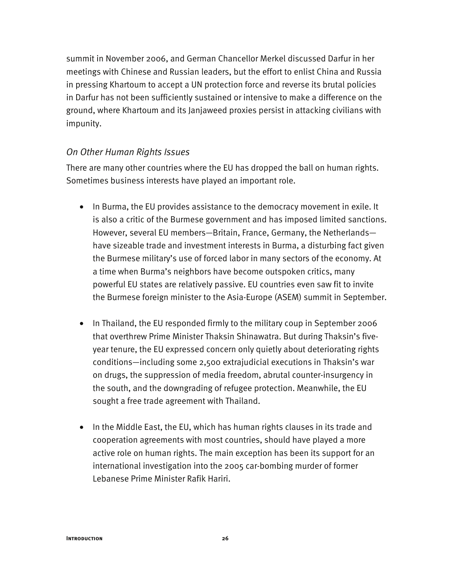summit in November 2006, and German Chancellor Merkel discussed Darfur in her meetings with Chinese and Russian leaders, but the effort to enlist China and Russia in pressing Khartoum to accept a UN protection force and reverse its brutal policies in Darfur has not been sufficiently sustained or intensive to make a difference on the ground, where Khartoum and its Janjaweed proxies persist in attacking civilians with impunity.

#### *On Other Human Rights Issues*

There are many other countries where the EU has dropped the ball on human rights. Sometimes business interests have played an important role.

- In Burma, the EU provides assistance to the democracy movement in exile. It is also a critic of the Burmese government and has imposed limited sanctions. However, several EU members—Britain, France, Germany, the Netherlands have sizeable trade and investment interests in Burma, a disturbing fact given the Burmese military's use of forced labor in many sectors of the economy. At a time when Burma's neighbors have become outspoken critics, many powerful EU states are relatively passive. EU countries even saw fit to invite the Burmese foreign minister to the Asia-Europe (ASEM) summit in September.
- In Thailand, the EU responded firmly to the military coup in September 2006 that overthrew Prime Minister Thaksin Shinawatra. But during Thaksin's fiveyear tenure, the EU expressed concern only quietly about deteriorating rights conditions—including some 2,500 extrajudicial executions in Thaksin's war on drugs, the suppression of media freedom, abrutal counter-insurgency in the south, and the downgrading of refugee protection. Meanwhile, the EU sought a free trade agreement with Thailand.
- In the Middle East, the EU, which has human rights clauses in its trade and cooperation agreements with most countries, should have played a more active role on human rights. The main exception has been its support for an international investigation into the 2005 car-bombing murder of former Lebanese Prime Minister Rafik Hariri.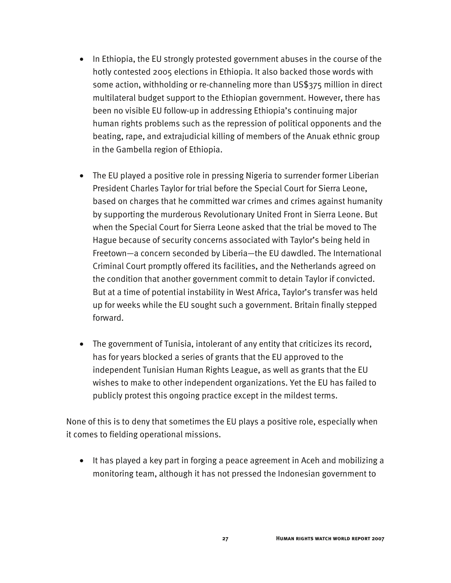- In Ethiopia, the EU strongly protested government abuses in the course of the hotly contested 2005 elections in Ethiopia. It also backed those words with some action, withholding or re-channeling more than US\$375 million in direct multilateral budget support to the Ethiopian government. However, there has been no visible EU follow-up in addressing Ethiopia's continuing major human rights problems such as the repression of political opponents and the beating, rape, and extrajudicial killing of members of the Anuak ethnic group in the Gambella region of Ethiopia.
- The EU played a positive role in pressing Nigeria to surrender former Liberian President Charles Taylor for trial before the Special Court for Sierra Leone, based on charges that he committed war crimes and crimes against humanity by supporting the murderous Revolutionary United Front in Sierra Leone. But when the Special Court for Sierra Leone asked that the trial be moved to The Hague because of security concerns associated with Taylor's being held in Freetown—a concern seconded by Liberia—the EU dawdled. The International Criminal Court promptly offered its facilities, and the Netherlands agreed on the condition that another government commit to detain Taylor if convicted. But at a time of potential instability in West Africa, Taylor's transfer was held up for weeks while the EU sought such a government. Britain finally stepped forward.
- The government of Tunisia, intolerant of any entity that criticizes its record, has for years blocked a series of grants that the EU approved to the independent Tunisian Human Rights League, as well as grants that the EU wishes to make to other independent organizations. Yet the EU has failed to publicly protest this ongoing practice except in the mildest terms.

None of this is to deny that sometimes the EU plays a positive role, especially when it comes to fielding operational missions.

• It has played a key part in forging a peace agreement in Aceh and mobilizing a monitoring team, although it has not pressed the Indonesian government to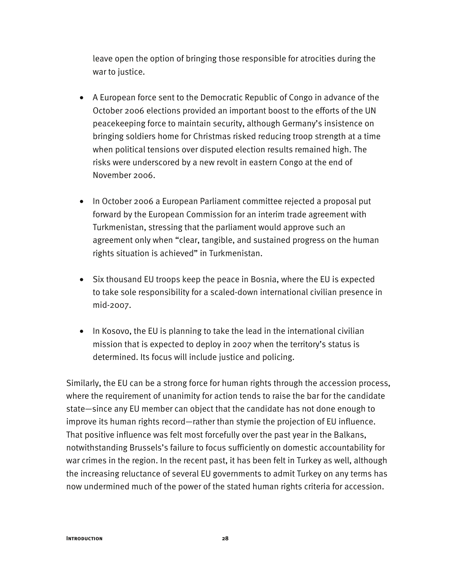leave open the option of bringing those responsible for atrocities during the war to justice.

- A European force sent to the Democratic Republic of Congo in advance of the October 2006 elections provided an important boost to the efforts of the UN peacekeeping force to maintain security, although Germany's insistence on bringing soldiers home for Christmas risked reducing troop strength at a time when political tensions over disputed election results remained high. The risks were underscored by a new revolt in eastern Congo at the end of November 2006.
- In October 2006 a European Parliament committee rejected a proposal put forward by the European Commission for an interim trade agreement with Turkmenistan, stressing that the parliament would approve such an agreement only when "clear, tangible, and sustained progress on the human rights situation is achieved" in Turkmenistan.
- Six thousand EU troops keep the peace in Bosnia, where the EU is expected to take sole responsibility for a scaled-down international civilian presence in mid-2007.
- In Kosovo, the EU is planning to take the lead in the international civilian mission that is expected to deploy in 2007 when the territory's status is determined. Its focus will include justice and policing.

Similarly, the EU can be a strong force for human rights through the accession process, where the requirement of unanimity for action tends to raise the bar for the candidate state—since any EU member can object that the candidate has not done enough to improve its human rights record—rather than stymie the projection of EU influence. That positive influence was felt most forcefully over the past year in the Balkans, notwithstanding Brussels's failure to focus sufficiently on domestic accountability for war crimes in the region. In the recent past, it has been felt in Turkey as well, although the increasing reluctance of several EU governments to admit Turkey on any terms has now undermined much of the power of the stated human rights criteria for accession.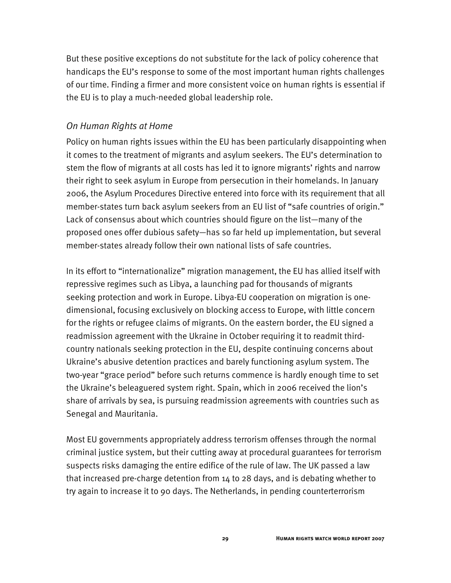But these positive exceptions do not substitute for the lack of policy coherence that handicaps the EU's response to some of the most important human rights challenges of our time. Finding a firmer and more consistent voice on human rights is essential if the EU is to play a much-needed global leadership role.

#### *On Human Rights at Home*

Policy on human rights issues within the EU has been particularly disappointing when it comes to the treatment of migrants and asylum seekers. The EU's determination to stem the flow of migrants at all costs has led it to ignore migrants' rights and narrow their right to seek asylum in Europe from persecution in their homelands. In January 2006, the Asylum Procedures Directive entered into force with its requirement that all member-states turn back asylum seekers from an EU list of "safe countries of origin." Lack of consensus about which countries should figure on the list—many of the proposed ones offer dubious safety—has so far held up implementation, but several member-states already follow their own national lists of safe countries.

In its effort to "internationalize" migration management, the EU has allied itself with repressive regimes such as Libya, a launching pad for thousands of migrants seeking protection and work in Europe. Libya-EU cooperation on migration is onedimensional, focusing exclusively on blocking access to Europe, with little concern for the rights or refugee claims of migrants. On the eastern border, the EU signed a readmission agreement with the Ukraine in October requiring it to readmit thirdcountry nationals seeking protection in the EU, despite continuing concerns about Ukraine's abusive detention practices and barely functioning asylum system. The two-year "grace period" before such returns commence is hardly enough time to set the Ukraine's beleaguered system right. Spain, which in 2006 received the lion's share of arrivals by sea, is pursuing readmission agreements with countries such as Senegal and Mauritania.

Most EU governments appropriately address terrorism offenses through the normal criminal justice system, but their cutting away at procedural guarantees for terrorism suspects risks damaging the entire edifice of the rule of law. The UK passed a law that increased pre-charge detention from  $14$  to 28 days, and is debating whether to try again to increase it to 90 days. The Netherlands, in pending counterterrorism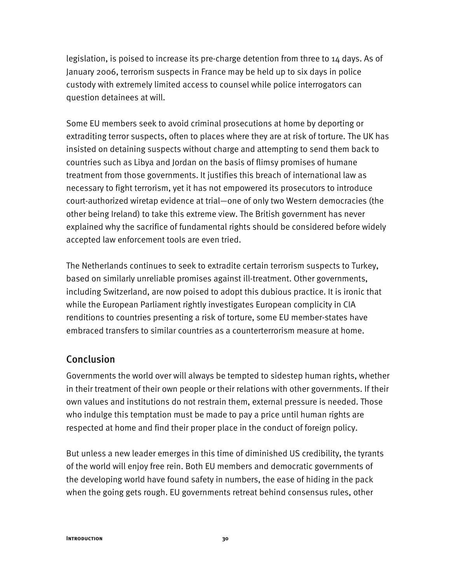legislation, is poised to increase its pre-charge detention from three to 14 days. As of January 2006, terrorism suspects in France may be held up to six days in police custody with extremely limited access to counsel while police interrogators can question detainees at will.

Some EU members seek to avoid criminal prosecutions at home by deporting or extraditing terror suspects, often to places where they are at risk of torture. The UK has insisted on detaining suspects without charge and attempting to send them back to countries such as Libya and Jordan on the basis of flimsy promises of humane treatment from those governments. It justifies this breach of international law as necessary to fight terrorism, yet it has not empowered its prosecutors to introduce court-authorized wiretap evidence at trial—one of only two Western democracies (the other being Ireland) to take this extreme view. The British government has never explained why the sacrifice of fundamental rights should be considered before widely accepted law enforcement tools are even tried.

The Netherlands continues to seek to extradite certain terrorism suspects to Turkey, based on similarly unreliable promises against ill-treatment. Other governments, including Switzerland, are now poised to adopt this dubious practice. It is ironic that while the European Parliament rightly investigates European complicity in CIA renditions to countries presenting a risk of torture, some EU member-states have embraced transfers to similar countries as a counterterrorism measure at home.

### Conclusion

Governments the world over will always be tempted to sidestep human rights, whether in their treatment of their own people or their relations with other governments. If their own values and institutions do not restrain them, external pressure is needed. Those who indulge this temptation must be made to pay a price until human rights are respected at home and find their proper place in the conduct of foreign policy.

But unless a new leader emerges in this time of diminished US credibility, the tyrants of the world will enjoy free rein. Both EU members and democratic governments of the developing world have found safety in numbers, the ease of hiding in the pack when the going gets rough. EU governments retreat behind consensus rules, other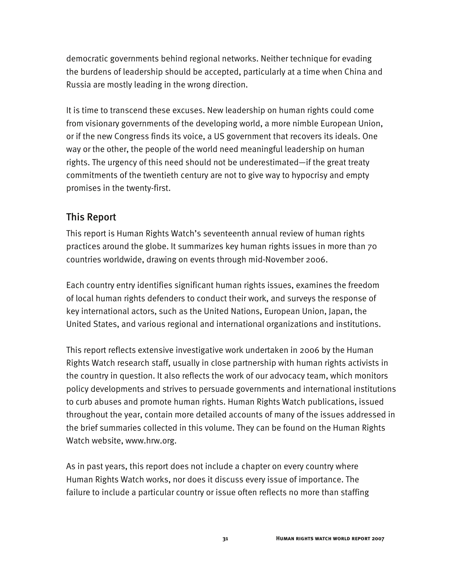democratic governments behind regional networks. Neither technique for evading the burdens of leadership should be accepted, particularly at a time when China and Russia are mostly leading in the wrong direction.

It is time to transcend these excuses. New leadership on human rights could come from visionary governments of the developing world, a more nimble European Union, or if the new Congress finds its voice, a US government that recovers its ideals. One way or the other, the people of the world need meaningful leadership on human rights. The urgency of this need should not be underestimated—if the great treaty commitments of the twentieth century are not to give way to hypocrisy and empty promises in the twenty-first.

# This Report

This report is Human Rights Watch's seventeenth annual review of human rights practices around the globe. It summarizes key human rights issues in more than 70 countries worldwide, drawing on events through mid-November 2006.

Each country entry identifies significant human rights issues, examines the freedom of local human rights defenders to conduct their work, and surveys the response of key international actors, such as the United Nations, European Union, Japan, the United States, and various regional and international organizations and institutions.

This report reflects extensive investigative work undertaken in 2006 by the Human Rights Watch research staff, usually in close partnership with human rights activists in the country in question. It also reflects the work of our advocacy team, which monitors policy developments and strives to persuade governments and international institutions to curb abuses and promote human rights. Human Rights Watch publications, issued throughout the year, contain more detailed accounts of many of the issues addressed in the brief summaries collected in this volume. They can be found on the Human Rights Watch website, www.hrw.org.

As in past years, this report does not include a chapter on every country where Human Rights Watch works, nor does it discuss every issue of importance. The failure to include a particular country or issue often reflects no more than staffing